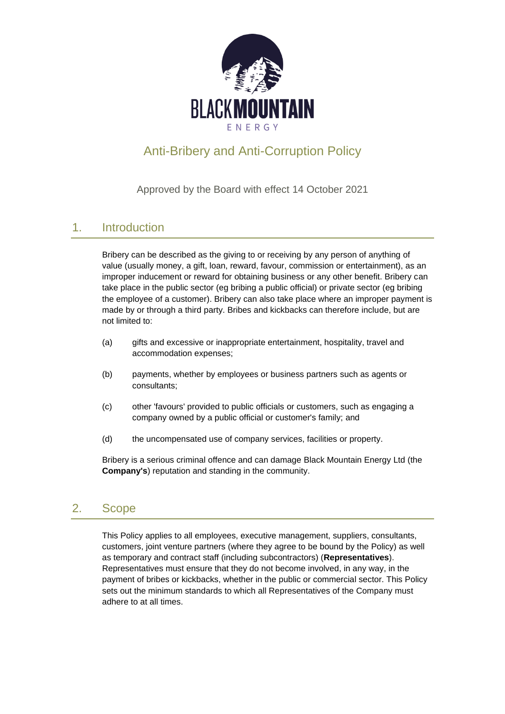

# Anti-Bribery and Anti-Corruption Policy

Approved by the Board with effect 14 October 2021

## 1. Introduction

Bribery can be described as the giving to or receiving by any person of anything of value (usually money, a gift, loan, reward, favour, commission or entertainment), as an improper inducement or reward for obtaining business or any other benefit. Bribery can take place in the public sector (eg bribing a public official) or private sector (eg bribing the employee of a customer). Bribery can also take place where an improper payment is made by or through a third party. Bribes and kickbacks can therefore include, but are not limited to:

- (a) gifts and excessive or inappropriate entertainment, hospitality, travel and accommodation expenses;
- (b) payments, whether by employees or business partners such as agents or consultants;
- (c) other 'favours' provided to public officials or customers, such as engaging a company owned by a public official or customer's family; and
- (d) the uncompensated use of company services, facilities or property.

Bribery is a serious criminal offence and can damage Black Mountain Energy Ltd (the **Company's**) reputation and standing in the community.

## 2. Scope

This Policy applies to all employees, executive management, suppliers, consultants, customers, joint venture partners (where they agree to be bound by the Policy) as well as temporary and contract staff (including subcontractors) (**Representatives**). Representatives must ensure that they do not become involved, in any way, in the payment of bribes or kickbacks, whether in the public or commercial sector. This Policy sets out the minimum standards to which all Representatives of the Company must adhere to at all times.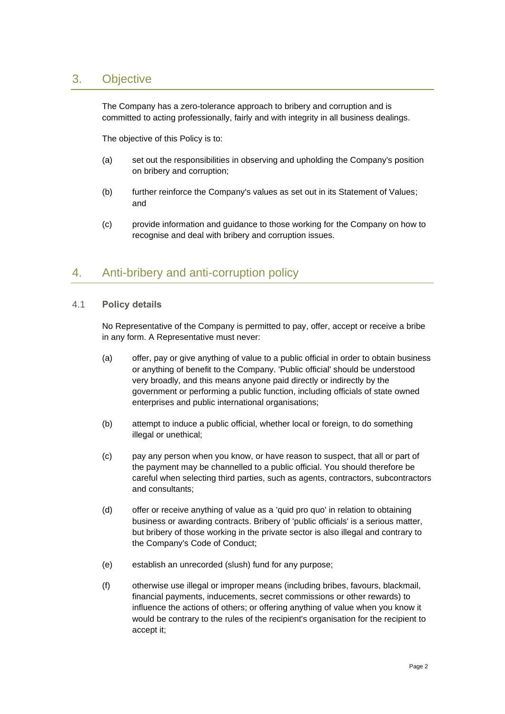### 3. Objective

The Company has a zero-tolerance approach to bribery and corruption and is committed to acting professionally, fairly and with integrity in all business dealings.

The objective of this Policy is to:

- (a) set out the responsibilities in observing and upholding the Company's position on bribery and corruption;
- (b) further reinforce the Company's values as set out in its Statement of Values; and
- (c) provide information and guidance to those working for the Company on how to recognise and deal with bribery and corruption issues.

### 4. Anti-bribery and anti-corruption policy

#### 4.1 **Policy details**

No Representative of the Company is permitted to pay, offer, accept or receive a bribe in any form. A Representative must never:

- (a) offer, pay or give anything of value to a public official in order to obtain business or anything of benefit to the Company. 'Public official' should be understood very broadly, and this means anyone paid directly or indirectly by the government or performing a public function, including officials of state owned enterprises and public international organisations;
- (b) attempt to induce a public official, whether local or foreign, to do something illegal or unethical;
- (c) pay any person when you know, or have reason to suspect, that all or part of the payment may be channelled to a public official. You should therefore be careful when selecting third parties, such as agents, contractors, subcontractors and consultants;
- (d) offer or receive anything of value as a 'quid pro quo' in relation to obtaining business or awarding contracts. Bribery of 'public officials' is a serious matter, but bribery of those working in the private sector is also illegal and contrary to the Company's Code of Conduct;
- (e) establish an unrecorded (slush) fund for any purpose;
- (f) otherwise use illegal or improper means (including bribes, favours, blackmail, financial payments, inducements, secret commissions or other rewards) to influence the actions of others; or offering anything of value when you know it would be contrary to the rules of the recipient's organisation for the recipient to accept it;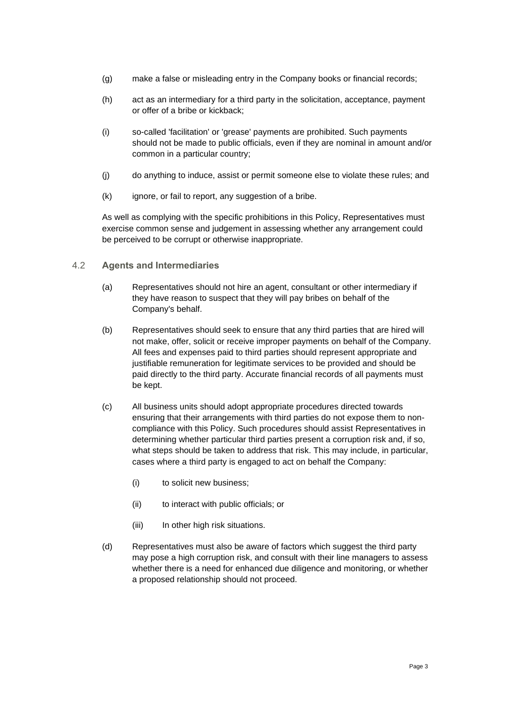- (g) make a false or misleading entry in the Company books or financial records;
- (h) act as an intermediary for a third party in the solicitation, acceptance, payment or offer of a bribe or kickback;
- (i) so-called 'facilitation' or 'grease' payments are prohibited. Such payments should not be made to public officials, even if they are nominal in amount and/or common in a particular country;
- (j) do anything to induce, assist or permit someone else to violate these rules; and
- (k) ignore, or fail to report, any suggestion of a bribe.

As well as complying with the specific prohibitions in this Policy, Representatives must exercise common sense and judgement in assessing whether any arrangement could be perceived to be corrupt or otherwise inappropriate.

#### 4.2 **Agents and Intermediaries**

- (a) Representatives should not hire an agent, consultant or other intermediary if they have reason to suspect that they will pay bribes on behalf of the Company's behalf.
- (b) Representatives should seek to ensure that any third parties that are hired will not make, offer, solicit or receive improper payments on behalf of the Company. All fees and expenses paid to third parties should represent appropriate and justifiable remuneration for legitimate services to be provided and should be paid directly to the third party. Accurate financial records of all payments must be kept.
- (c) All business units should adopt appropriate procedures directed towards ensuring that their arrangements with third parties do not expose them to noncompliance with this Policy. Such procedures should assist Representatives in determining whether particular third parties present a corruption risk and, if so, what steps should be taken to address that risk. This may include, in particular, cases where a third party is engaged to act on behalf the Company:
	- (i) to solicit new business;
	- (ii) to interact with public officials; or
	- (iii) In other high risk situations.
- (d) Representatives must also be aware of factors which suggest the third party may pose a high corruption risk, and consult with their line managers to assess whether there is a need for enhanced due diligence and monitoring, or whether a proposed relationship should not proceed.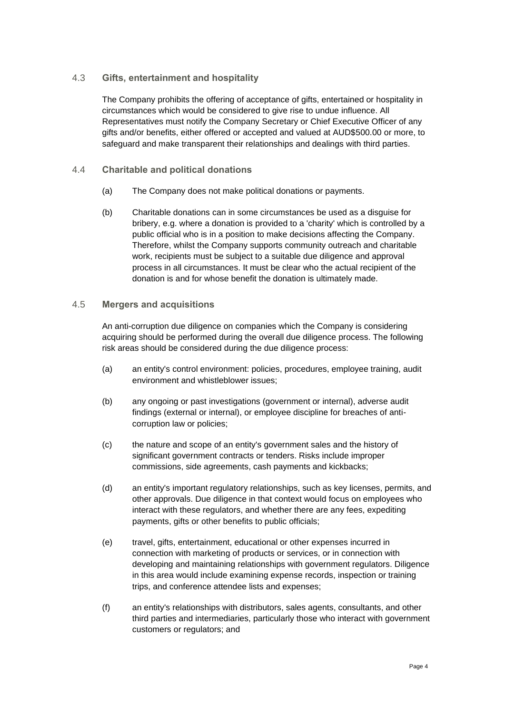#### 4.3 **Gifts, entertainment and hospitality**

The Company prohibits the offering of acceptance of gifts, entertained or hospitality in circumstances which would be considered to give rise to undue influence. All Representatives must notify the Company Secretary or Chief Executive Officer of any gifts and/or benefits, either offered or accepted and valued at AUD\$500.00 or more, to safeguard and make transparent their relationships and dealings with third parties.

#### 4.4 **Charitable and political donations**

- (a) The Company does not make political donations or payments.
- (b) Charitable donations can in some circumstances be used as a disguise for bribery, e.g. where a donation is provided to a 'charity' which is controlled by a public official who is in a position to make decisions affecting the Company. Therefore, whilst the Company supports community outreach and charitable work, recipients must be subject to a suitable due diligence and approval process in all circumstances. It must be clear who the actual recipient of the donation is and for whose benefit the donation is ultimately made.

#### 4.5 **Mergers and acquisitions**

An anti-corruption due diligence on companies which the Company is considering acquiring should be performed during the overall due diligence process. The following risk areas should be considered during the due diligence process:

- (a) an entity's control environment: policies, procedures, employee training, audit environment and whistleblower issues;
- (b) any ongoing or past investigations (government or internal), adverse audit findings (external or internal), or employee discipline for breaches of anticorruption law or policies;
- (c) the nature and scope of an entity's government sales and the history of significant government contracts or tenders. Risks include improper commissions, side agreements, cash payments and kickbacks;
- (d) an entity's important regulatory relationships, such as key licenses, permits, and other approvals. Due diligence in that context would focus on employees who interact with these regulators, and whether there are any fees, expediting payments, gifts or other benefits to public officials;
- (e) travel, gifts, entertainment, educational or other expenses incurred in connection with marketing of products or services, or in connection with developing and maintaining relationships with government regulators. Diligence in this area would include examining expense records, inspection or training trips, and conference attendee lists and expenses;
- (f) an entity's relationships with distributors, sales agents, consultants, and other third parties and intermediaries, particularly those who interact with government customers or regulators; and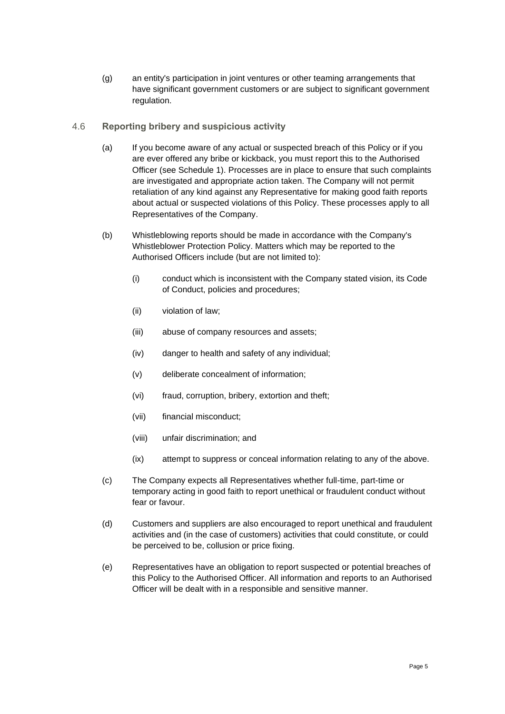(g) an entity's participation in joint ventures or other teaming arrangements that have significant government customers or are subject to significant government regulation.

#### 4.6 **Reporting bribery and suspicious activity**

- (a) If you become aware of any actual or suspected breach of this Policy or if you are ever offered any bribe or kickback, you must report this to the Authorised Officer (see [Schedule](#page-6-0) 1). Processes are in place to ensure that such complaints are investigated and appropriate action taken. The Company will not permit retaliation of any kind against any Representative for making good faith reports about actual or suspected violations of this Policy. These processes apply to all Representatives of the Company.
- (b) Whistleblowing reports should be made in accordance with the Company's Whistleblower Protection Policy. Matters which may be reported to the Authorised Officers include (but are not limited to):
	- (i) conduct which is inconsistent with the Company stated vision, its Code of Conduct, policies and procedures;
	- (ii) violation of law;
	- (iii) abuse of company resources and assets;
	- (iv) danger to health and safety of any individual;
	- (v) deliberate concealment of information;
	- (vi) fraud, corruption, bribery, extortion and theft;
	- (vii) financial misconduct;
	- (viii) unfair discrimination; and
	- (ix) attempt to suppress or conceal information relating to any of the above.
- (c) The Company expects all Representatives whether full-time, part-time or temporary acting in good faith to report unethical or fraudulent conduct without fear or favour.
- (d) Customers and suppliers are also encouraged to report unethical and fraudulent activities and (in the case of customers) activities that could constitute, or could be perceived to be, collusion or price fixing.
- (e) Representatives have an obligation to report suspected or potential breaches of this Policy to the Authorised Officer. All information and reports to an Authorised Officer will be dealt with in a responsible and sensitive manner.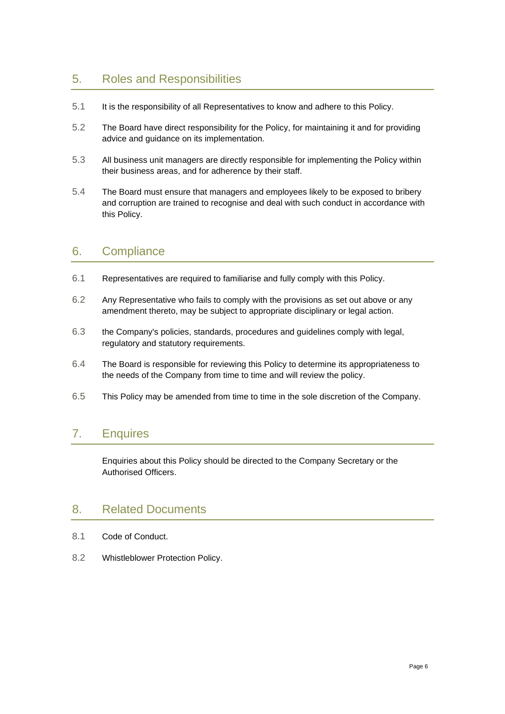## 5. Roles and Responsibilities

- 5.1 It is the responsibility of all Representatives to know and adhere to this Policy.
- 5.2 The Board have direct responsibility for the Policy, for maintaining it and for providing advice and guidance on its implementation.
- 5.3 All business unit managers are directly responsible for implementing the Policy within their business areas, and for adherence by their staff.
- 5.4 The Board must ensure that managers and employees likely to be exposed to bribery and corruption are trained to recognise and deal with such conduct in accordance with this Policy.

### 6. Compliance

- 6.1 Representatives are required to familiarise and fully comply with this Policy.
- 6.2 Any Representative who fails to comply with the provisions as set out above or any amendment thereto, may be subject to appropriate disciplinary or legal action.
- 6.3 the Company's policies, standards, procedures and guidelines comply with legal, regulatory and statutory requirements.
- 6.4 The Board is responsible for reviewing this Policy to determine its appropriateness to the needs of the Company from time to time and will review the policy.
- 6.5 This Policy may be amended from time to time in the sole discretion of the Company.

## 7. Enquires

Enquiries about this Policy should be directed to the Company Secretary or the Authorised Officers.

### 8. Related Documents

- 8.1 Code of Conduct.
- 8.2 Whistleblower Protection Policy.